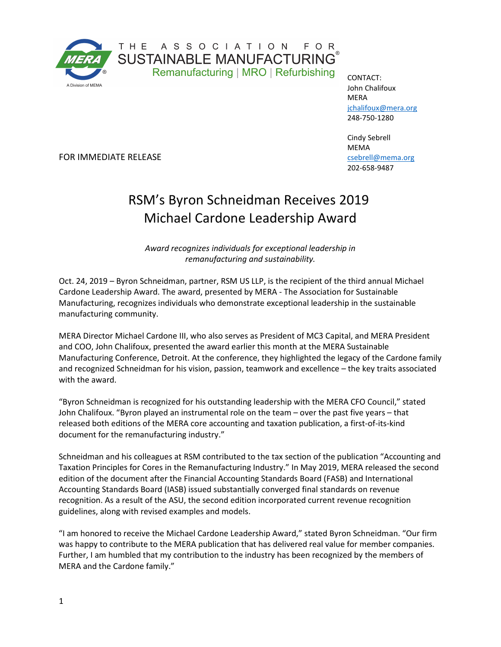

FOR IMMEDIATE RELEASE

CONTACT: John Chalifoux **MERA** [jchalifoux@mera.org](mailto:jchalifoux@mera.org) 248-750-1280

Cindy Sebrell MEMA [csebrell@mema.org](mailto:csebrell@mema.org) 202-658-9487

## RSM's Byron Schneidman Receives 2019 Michael Cardone Leadership Award

*Award recognizes individuals for exceptional leadership in remanufacturing and sustainability.* 

Oct. 24, 2019 – Byron Schneidman, partner, RSM US LLP, is the recipient of the third annual Michael Cardone Leadership Award. The award, presented by MERA - The Association for Sustainable Manufacturing, recognizes individuals who demonstrate exceptional leadership in the sustainable manufacturing community.

MERA Director Michael Cardone III, who also serves as President of MC3 Capital, and MERA President and COO, John Chalifoux, presented the award earlier this month at the MERA Sustainable Manufacturing Conference, Detroit. At the conference, they highlighted the legacy of the Cardone family and recognized Schneidman for his vision, passion, teamwork and excellence – the key traits associated with the award.

"Byron Schneidman is recognized for his outstanding leadership with the MERA CFO Council," stated John Chalifoux. "Byron played an instrumental role on the team – over the past five years – that released both editions of the MERA core accounting and taxation publication, a first-of-its-kind document for the remanufacturing industry."

Schneidman and his colleagues at RSM contributed to the tax section of the publication "Accounting and Taxation Principles for Cores in the Remanufacturing Industry." In May 2019, MERA released the second edition of the document after the Financial Accounting Standards Board (FASB) and International Accounting Standards Board (IASB) issued substantially converged final standards on revenue recognition. As a result of the ASU, the second edition incorporated current revenue recognition guidelines, along with revised examples and models.

"I am honored to receive the Michael Cardone Leadership Award," stated Byron Schneidman. "Our firm was happy to contribute to the MERA publication that has delivered real value for member companies. Further, I am humbled that my contribution to the industry has been recognized by the members of MERA and the Cardone family."